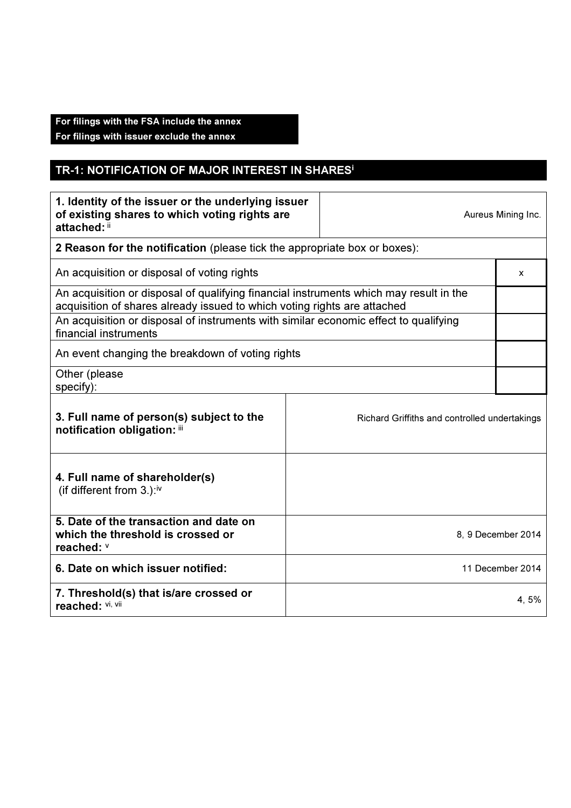# For filings with the FSA include the annex

For filings with issuer exclude the annex

# TR-1: NOTIFICATION OF MAJOR INTEREST IN SHARES<sup>i</sup>

| 1. Identity of the issuer or the underlying issuer<br>of existing shares to which voting rights are<br>attached: ii                                                |  |                                               | Aureus Mining Inc. |
|--------------------------------------------------------------------------------------------------------------------------------------------------------------------|--|-----------------------------------------------|--------------------|
| 2 Reason for the notification (please tick the appropriate box or boxes):                                                                                          |  |                                               |                    |
| An acquisition or disposal of voting rights                                                                                                                        |  |                                               | x                  |
| An acquisition or disposal of qualifying financial instruments which may result in the<br>acquisition of shares already issued to which voting rights are attached |  |                                               |                    |
| An acquisition or disposal of instruments with similar economic effect to qualifying<br>financial instruments                                                      |  |                                               |                    |
| An event changing the breakdown of voting rights                                                                                                                   |  |                                               |                    |
| Other (please<br>specify):                                                                                                                                         |  |                                               |                    |
| 3. Full name of person(s) subject to the<br>notification obligation: iii                                                                                           |  | Richard Griffiths and controlled undertakings |                    |
| 4. Full name of shareholder(s)<br>(if different from 3.):iv                                                                                                        |  |                                               |                    |
| 5. Date of the transaction and date on<br>which the threshold is crossed or<br>reached: v                                                                          |  | 8, 9 December 2014                            |                    |
| 6. Date on which issuer notified:                                                                                                                                  |  | 11 December 2014                              |                    |
| 7. Threshold(s) that is/are crossed or<br>reached: Vi, Vii                                                                                                         |  | 4, 5%                                         |                    |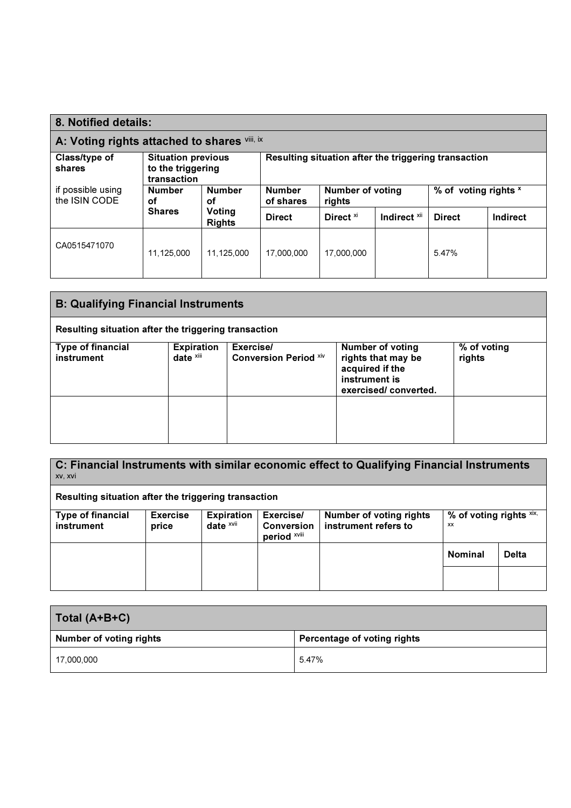| 8. Notified details:                                                                     |                            |                                                      |               |                      |                         |               |          |
|------------------------------------------------------------------------------------------|----------------------------|------------------------------------------------------|---------------|----------------------|-------------------------|---------------|----------|
| A: Voting rights attached to shares vill, ix                                             |                            |                                                      |               |                      |                         |               |          |
| Class/type of<br><b>Situation previous</b><br>to the triggering<br>shares<br>transaction |                            | Resulting situation after the triggering transaction |               |                      |                         |               |          |
| if possible using<br><b>Number</b><br><b>Number</b><br>the ISIN CODE<br>οf<br>οf         | <b>Number</b><br>of shares | % of voting rights x<br>Number of voting<br>rights   |               |                      |                         |               |          |
|                                                                                          | <b>Shares</b>              | Voting<br><b>Rights</b>                              | <b>Direct</b> | Direct <sup>xi</sup> | Indirect <sup>xii</sup> | <b>Direct</b> | Indirect |
| CA0515471070                                                                             | 11,125,000                 | 11,125,000                                           | 17.000.000    | 17,000,000           |                         | 5.47%         |          |

| <b>B: Qualifying Financial Instruments</b>           |                            |                                           |                                                                                                           |                       |
|------------------------------------------------------|----------------------------|-------------------------------------------|-----------------------------------------------------------------------------------------------------------|-----------------------|
| Resulting situation after the triggering transaction |                            |                                           |                                                                                                           |                       |
| Type of financial<br>instrument                      | Expiration<br>date $x$ iii | Exercise/<br><b>Conversion Period Xiv</b> | <b>Number of voting</b><br>rights that may be<br>acquired if the<br>instrument is<br>exercised/converted. | % of voting<br>rights |
|                                                      |                            |                                           |                                                                                                           |                       |

| C: Financial Instruments with similar economic effect to Qualifying Financial Instruments<br>XV, XVI |                          |                                              |                                                |                                                        |                                         |              |
|------------------------------------------------------------------------------------------------------|--------------------------|----------------------------------------------|------------------------------------------------|--------------------------------------------------------|-----------------------------------------|--------------|
| Resulting situation after the triggering transaction                                                 |                          |                                              |                                                |                                                        |                                         |              |
| <b>Type of financial</b><br>instrument                                                               | <b>Exercise</b><br>price | <b>Expiration</b><br>date $x$ <sup>vii</sup> | Exercise/<br><b>Conversion</b><br>period XVIII | <b>Number of voting rights</b><br>instrument refers to | % of voting rights $x$ ix,<br><b>XX</b> |              |
|                                                                                                      |                          |                                              |                                                |                                                        | <b>Nominal</b>                          | <b>Delta</b> |
|                                                                                                      |                          |                                              |                                                |                                                        |                                         |              |

| Total (A+B+C)           |                             |  |
|-------------------------|-----------------------------|--|
| Number of voting rights | Percentage of voting rights |  |
| 17,000,000              | 5.47%                       |  |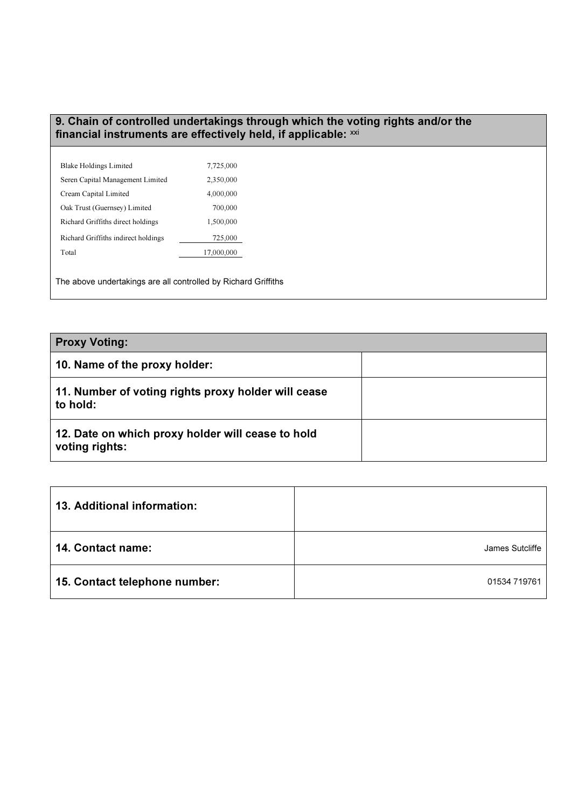#### 9. Chain of controlled undertakings through which the voting rights and/or the financial instruments are effectively held, if applicable:  $^{\mathsf{x} \mathsf{x} \mathsf{i}}$

| <b>Blake Holdings Limited</b>       | 7,725,000  |
|-------------------------------------|------------|
| Seren Capital Management Limited    | 2,350,000  |
| Cream Capital Limited               | 4,000,000  |
| Oak Trust (Guernsey) Limited        | 700,000    |
| Richard Griffiths direct holdings   | 1,500,000  |
| Richard Griffiths indirect holdings | 725,000    |
| Total                               | 17,000,000 |
|                                     |            |

The above undertakings are all controlled by Richard Griffiths

| <b>Proxy Voting:</b>                                                |  |
|---------------------------------------------------------------------|--|
| 10. Name of the proxy holder:                                       |  |
| 11. Number of voting rights proxy holder will cease<br>to hold:     |  |
| 12. Date on which proxy holder will cease to hold<br>voting rights: |  |

| $\mid$ 13. Additional information: |                 |
|------------------------------------|-----------------|
| 14. Contact name:                  | James Sutcliffe |
| 15. Contact telephone number:      | 01534 719761    |